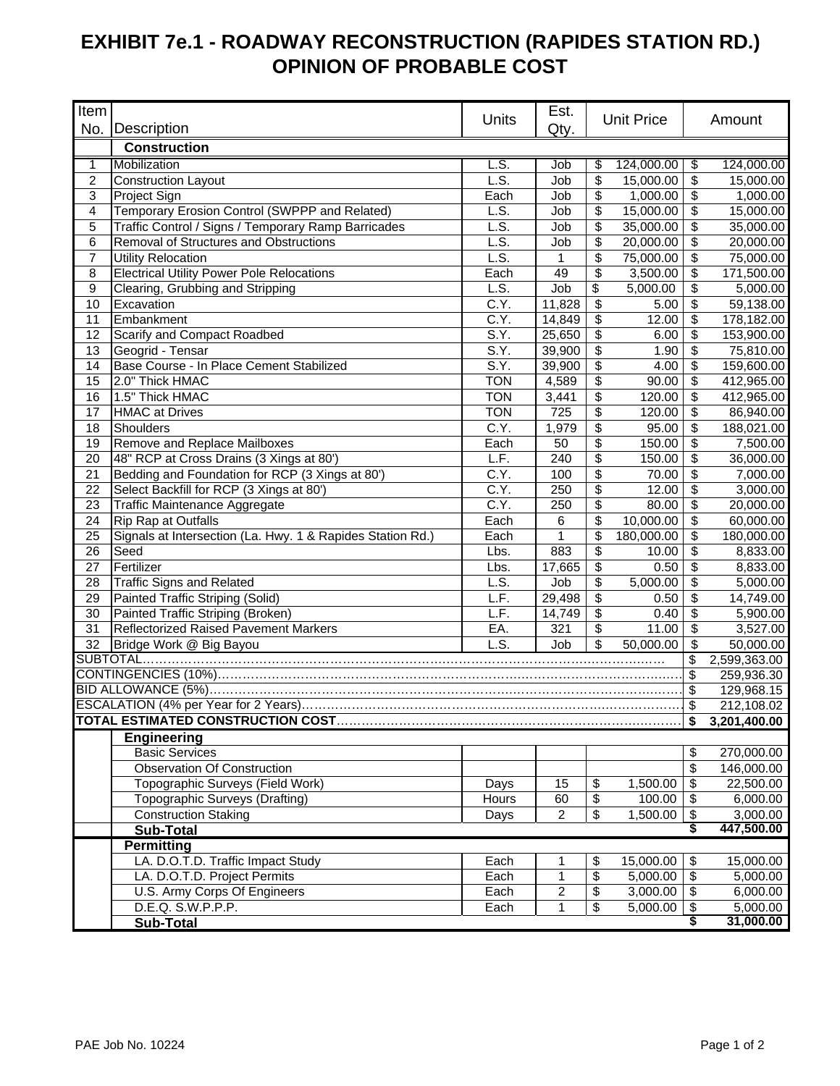## **EXHIBIT 7e.1 - ROADWAY RECONSTRUCTION (RAPIDES STATION RD.) OPINION OF PROBABLE COST**

| Item                                                          |                                                                                   |                   | Est.                    |                               |                   |                     |                       |  |
|---------------------------------------------------------------|-----------------------------------------------------------------------------------|-------------------|-------------------------|-------------------------------|-------------------|---------------------|-----------------------|--|
|                                                               | No. Description                                                                   | Units             | Qty.                    |                               | <b>Unit Price</b> |                     | Amount                |  |
|                                                               | <b>Construction</b>                                                               |                   |                         |                               |                   |                     |                       |  |
| 1                                                             | Mobilization                                                                      | L.S.              | Job                     | \$                            | 124,000.00        | \$                  | 124,000.00            |  |
| 2                                                             | <b>Construction Layout</b>                                                        | L.S.              | Job                     | \$                            | 15,000.00         | \$                  | 15,000.00             |  |
| 3                                                             | Project Sign                                                                      | Each              | Job                     | \$                            | 1,000.00          | \$                  | 1,000.00              |  |
| 4                                                             | Temporary Erosion Control (SWPPP and Related)                                     | L.S.              | Job                     | \$                            | 15,000.00         | \$                  | 15,000.00             |  |
| 5                                                             | Traffic Control / Signs / Temporary Ramp Barricades                               | L.S.              | Job                     | \$                            | 35,000.00         | \$                  | 35,000.00             |  |
| 6                                                             | Removal of Structures and Obstructions                                            | L.S.              | Job                     | \$                            | 20,000.00         | \$                  | 20,000.00             |  |
| $\overline{7}$                                                | <b>Utility Relocation</b>                                                         | L.S.              | 1                       | \$                            | 75,000.00         | \$                  | 75,000.00             |  |
| 8                                                             | <b>Electrical Utility Power Pole Relocations</b>                                  | Each              | 49                      | \$                            | 3,500.00          | $\mathbb{S}$        | 171,500.00            |  |
| $\boldsymbol{9}$                                              | Clearing, Grubbing and Stripping                                                  | L.S.              | Job                     | \$                            | 5,000.00          | \$                  | 5,000.00              |  |
| 10                                                            | Excavation                                                                        | C.Y.              | 11,828                  | \$                            | 5.00              | \$                  | 59,138.00             |  |
| 11                                                            | Embankment                                                                        | C.Y.              | 14,849                  | \$                            | 12.00             | \$                  | 178,182.00            |  |
| 12                                                            | Scarify and Compact Roadbed                                                       | S.Y.              | 25,650                  | \$                            | 6.00              | \$                  | 153,900.00            |  |
| 13                                                            | Geogrid - Tensar                                                                  | S.Y.              | 39,900                  | \$                            | 1.90              | \$                  | 75,810.00             |  |
| 14                                                            | Base Course - In Place Cement Stabilized                                          | S.Y.              | 39,900                  | \$                            | 4.00              | \$                  | 159,600.00            |  |
| 15                                                            | 2.0" Thick HMAC                                                                   | <b>TON</b>        | 4,589                   | \$                            | 90.00             | \$                  | 412,965.00            |  |
| 16                                                            | 1.5" Thick HMAC                                                                   | <b>TON</b>        | 3,441                   | \$                            | 120.00            | \$                  | 412,965.00            |  |
| 17                                                            | <b>HMAC at Drives</b>                                                             | <b>TON</b>        | 725                     | \$                            | 120.00            | \$                  | 86,940.00             |  |
| 18                                                            | Shoulders                                                                         | C.Y.              | 1,979                   | \$                            | 95.00             | \$                  | 188,021.00            |  |
| 19                                                            | Remove and Replace Mailboxes                                                      | Each              | 50                      | \$                            | 150.00            | \$                  | 7,500.00              |  |
| 20                                                            | 48" RCP at Cross Drains (3 Xings at 80')                                          | L.F.              | 240                     | \$                            | 150.00            | \$                  | 36,000.00             |  |
| 21                                                            | Bedding and Foundation for RCP (3 Xings at 80')                                   | C.Y.              | 100                     | \$                            | 70.00             | \$                  | 7,000.00              |  |
| 22                                                            | Select Backfill for RCP (3 Xings at 80')                                          | $\overline{C.Y.}$ | 250                     | \$                            | 12.00             | \$                  | 3,000.00              |  |
| 23                                                            | Traffic Maintenance Aggregate                                                     | $\overline{C.Y.}$ | 250                     | \$                            | 80.00             | \$                  | 20,000.00             |  |
| 24                                                            | Rip Rap at Outfalls                                                               | Each              | 6                       | \$                            | 10,000.00         | \$                  | 60,000.00             |  |
| 25                                                            | Signals at Intersection (La. Hwy. 1 & Rapides Station Rd.)                        | Each              | 1                       | \$                            | 180,000.00        | \$                  | 180,000.00            |  |
| 26                                                            | Seed                                                                              | Lbs.              | 883                     | \$                            | 10.00             | \$                  | 8,833.00              |  |
| 27                                                            | Fertilizer                                                                        | Lbs.              | 17,665                  | \$                            | 0.50              | \$                  | 8,833.00              |  |
| 28                                                            | <b>Traffic Signs and Related</b>                                                  | L.S.              | Job                     | \$                            | 5,000.00          | \$                  | 5,000.00              |  |
| 29                                                            | Painted Traffic Striping (Solid)                                                  | L.F.              | 29,498                  | \$<br>$\overline{\mathbf{e}}$ | 0.50              | \$<br>\$            | 14,749.00             |  |
| 30<br>31                                                      | Painted Traffic Striping (Broken)<br><b>Reflectorized Raised Pavement Markers</b> | L.F.<br>EA.       | 14,749<br>321           | \$                            | 0.40<br>11.00     | \$                  | 5,900.00              |  |
|                                                               |                                                                                   | L.S.              |                         | \$                            |                   | \$                  | 3,527.00<br>50,000.00 |  |
| 50,000.00<br>32<br>Job<br>Bridge Work @ Big Bayou<br>SUBTOTAL |                                                                                   |                   |                         |                               |                   |                     | 2,599,363.00          |  |
|                                                               |                                                                                   |                   |                         |                               |                   |                     | 259,936.30            |  |
|                                                               |                                                                                   |                   |                         |                               |                   |                     | 129,968.15            |  |
|                                                               |                                                                                   |                   |                         |                               |                   |                     | 212,108.02            |  |
|                                                               |                                                                                   |                   |                         |                               |                   | $\mathfrak s$<br>\$ | 3,201,400.00          |  |
|                                                               | <b>Engineering</b>                                                                |                   |                         |                               |                   |                     |                       |  |
|                                                               | <b>Basic Services</b>                                                             |                   |                         |                               |                   | \$                  | 270,000.00            |  |
|                                                               | <b>Observation Of Construction</b>                                                |                   |                         |                               |                   | \$                  | 146,000.00            |  |
|                                                               | Topographic Surveys (Field Work)                                                  | Days              | 15                      | \$                            | 1,500.00          | $\mathbb{S}$        | 22,500.00             |  |
|                                                               | Topographic Surveys (Drafting)                                                    | Hours             | 60                      | \$                            | 100.00            | \$                  | 6,000.00              |  |
|                                                               | <b>Construction Staking</b>                                                       | Days              | $\overline{2}$          | $\boldsymbol{\mathsf{S}}$     | 1,500.00          | \$                  | 3,000.00              |  |
|                                                               | Sub-Total                                                                         |                   |                         |                               |                   | \$                  | 447,500.00            |  |
|                                                               | <b>Permitting</b>                                                                 |                   |                         |                               |                   |                     |                       |  |
|                                                               | LA. D.O.T.D. Traffic Impact Study                                                 | Each              | 1                       | \$                            | 15,000.00         | \$                  | 15,000.00             |  |
|                                                               | LA. D.O.T.D. Project Permits                                                      | Each              | 1                       | $\overline{\mathbf{e}}$       | 5,000.00          | $\sqrt{3}$          | 5,000.00              |  |
|                                                               | U.S. Army Corps Of Engineers                                                      | Each              | $\overline{\mathbf{c}}$ | \$                            | 3,000.00          | \$                  | 6,000.00              |  |
|                                                               | D.E.Q. S.W.P.P.P.                                                                 | Each              | 1                       | \$                            | 5,000.00          | \$                  | 5,000.00              |  |
|                                                               | <b>Sub-Total</b>                                                                  |                   |                         |                               |                   | \$                  | 31,000.00             |  |